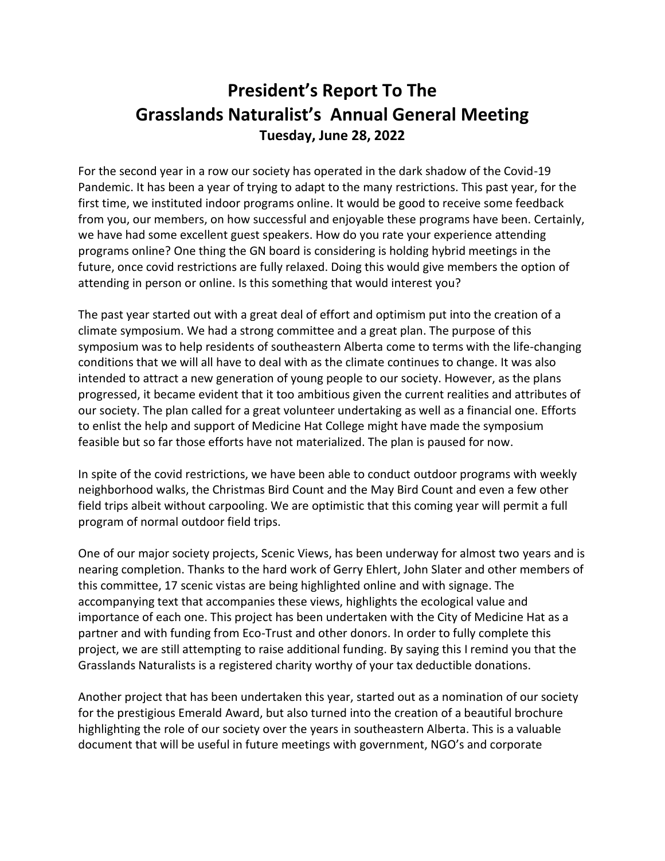## **President's Report To The Grasslands Naturalist's Annual General Meeting Tuesday, June 28, 2022**

For the second year in a row our society has operated in the dark shadow of the Covid-19 Pandemic. It has been a year of trying to adapt to the many restrictions. This past year, for the first time, we instituted indoor programs online. It would be good to receive some feedback from you, our members, on how successful and enjoyable these programs have been. Certainly, we have had some excellent guest speakers. How do you rate your experience attending programs online? One thing the GN board is considering is holding hybrid meetings in the future, once covid restrictions are fully relaxed. Doing this would give members the option of attending in person or online. Is this something that would interest you?

The past year started out with a great deal of effort and optimism put into the creation of a climate symposium. We had a strong committee and a great plan. The purpose of this symposium was to help residents of southeastern Alberta come to terms with the life-changing conditions that we will all have to deal with as the climate continues to change. It was also intended to attract a new generation of young people to our society. However, as the plans progressed, it became evident that it too ambitious given the current realities and attributes of our society. The plan called for a great volunteer undertaking as well as a financial one. Efforts to enlist the help and support of Medicine Hat College might have made the symposium feasible but so far those efforts have not materialized. The plan is paused for now.

In spite of the covid restrictions, we have been able to conduct outdoor programs with weekly neighborhood walks, the Christmas Bird Count and the May Bird Count and even a few other field trips albeit without carpooling. We are optimistic that this coming year will permit a full program of normal outdoor field trips.

One of our major society projects, Scenic Views, has been underway for almost two years and is nearing completion. Thanks to the hard work of Gerry Ehlert, John Slater and other members of this committee, 17 scenic vistas are being highlighted online and with signage. The accompanying text that accompanies these views, highlights the ecological value and importance of each one. This project has been undertaken with the City of Medicine Hat as a partner and with funding from Eco-Trust and other donors. In order to fully complete this project, we are still attempting to raise additional funding. By saying this I remind you that the Grasslands Naturalists is a registered charity worthy of your tax deductible donations.

Another project that has been undertaken this year, started out as a nomination of our society for the prestigious Emerald Award, but also turned into the creation of a beautiful brochure highlighting the role of our society over the years in southeastern Alberta. This is a valuable document that will be useful in future meetings with government, NGO's and corporate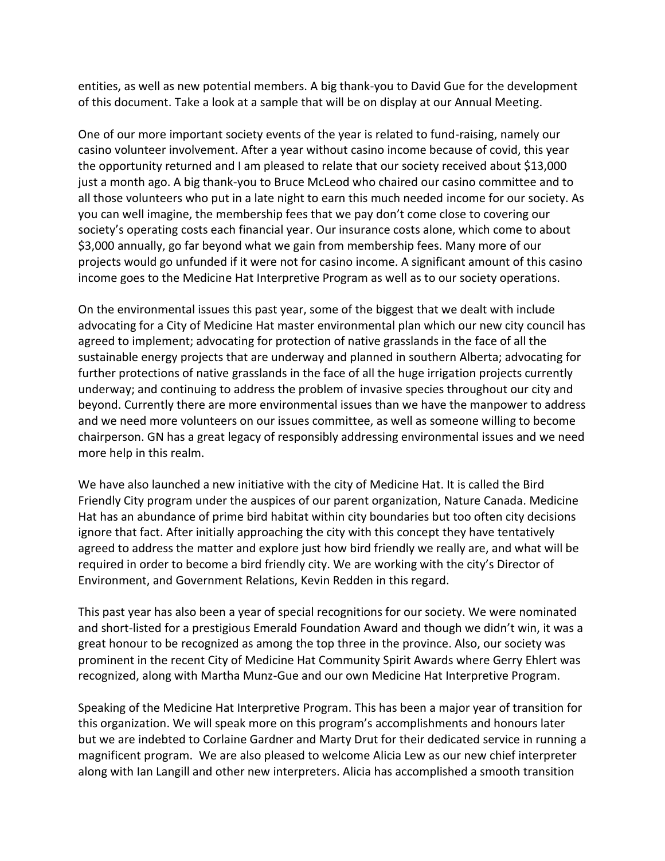entities, as well as new potential members. A big thank-you to David Gue for the development of this document. Take a look at a sample that will be on display at our Annual Meeting.

One of our more important society events of the year is related to fund-raising, namely our casino volunteer involvement. After a year without casino income because of covid, this year the opportunity returned and I am pleased to relate that our society received about \$13,000 just a month ago. A big thank-you to Bruce McLeod who chaired our casino committee and to all those volunteers who put in a late night to earn this much needed income for our society. As you can well imagine, the membership fees that we pay don't come close to covering our society's operating costs each financial year. Our insurance costs alone, which come to about \$3,000 annually, go far beyond what we gain from membership fees. Many more of our projects would go unfunded if it were not for casino income. A significant amount of this casino income goes to the Medicine Hat Interpretive Program as well as to our society operations.

On the environmental issues this past year, some of the biggest that we dealt with include advocating for a City of Medicine Hat master environmental plan which our new city council has agreed to implement; advocating for protection of native grasslands in the face of all the sustainable energy projects that are underway and planned in southern Alberta; advocating for further protections of native grasslands in the face of all the huge irrigation projects currently underway; and continuing to address the problem of invasive species throughout our city and beyond. Currently there are more environmental issues than we have the manpower to address and we need more volunteers on our issues committee, as well as someone willing to become chairperson. GN has a great legacy of responsibly addressing environmental issues and we need more help in this realm.

We have also launched a new initiative with the city of Medicine Hat. It is called the Bird Friendly City program under the auspices of our parent organization, Nature Canada. Medicine Hat has an abundance of prime bird habitat within city boundaries but too often city decisions ignore that fact. After initially approaching the city with this concept they have tentatively agreed to address the matter and explore just how bird friendly we really are, and what will be required in order to become a bird friendly city. We are working with the city's Director of Environment, and Government Relations, Kevin Redden in this regard.

This past year has also been a year of special recognitions for our society. We were nominated and short-listed for a prestigious Emerald Foundation Award and though we didn't win, it was a great honour to be recognized as among the top three in the province. Also, our society was prominent in the recent City of Medicine Hat Community Spirit Awards where Gerry Ehlert was recognized, along with Martha Munz-Gue and our own Medicine Hat Interpretive Program.

Speaking of the Medicine Hat Interpretive Program. This has been a major year of transition for this organization. We will speak more on this program's accomplishments and honours later but we are indebted to Corlaine Gardner and Marty Drut for their dedicated service in running a magnificent program. We are also pleased to welcome Alicia Lew as our new chief interpreter along with Ian Langill and other new interpreters. Alicia has accomplished a smooth transition